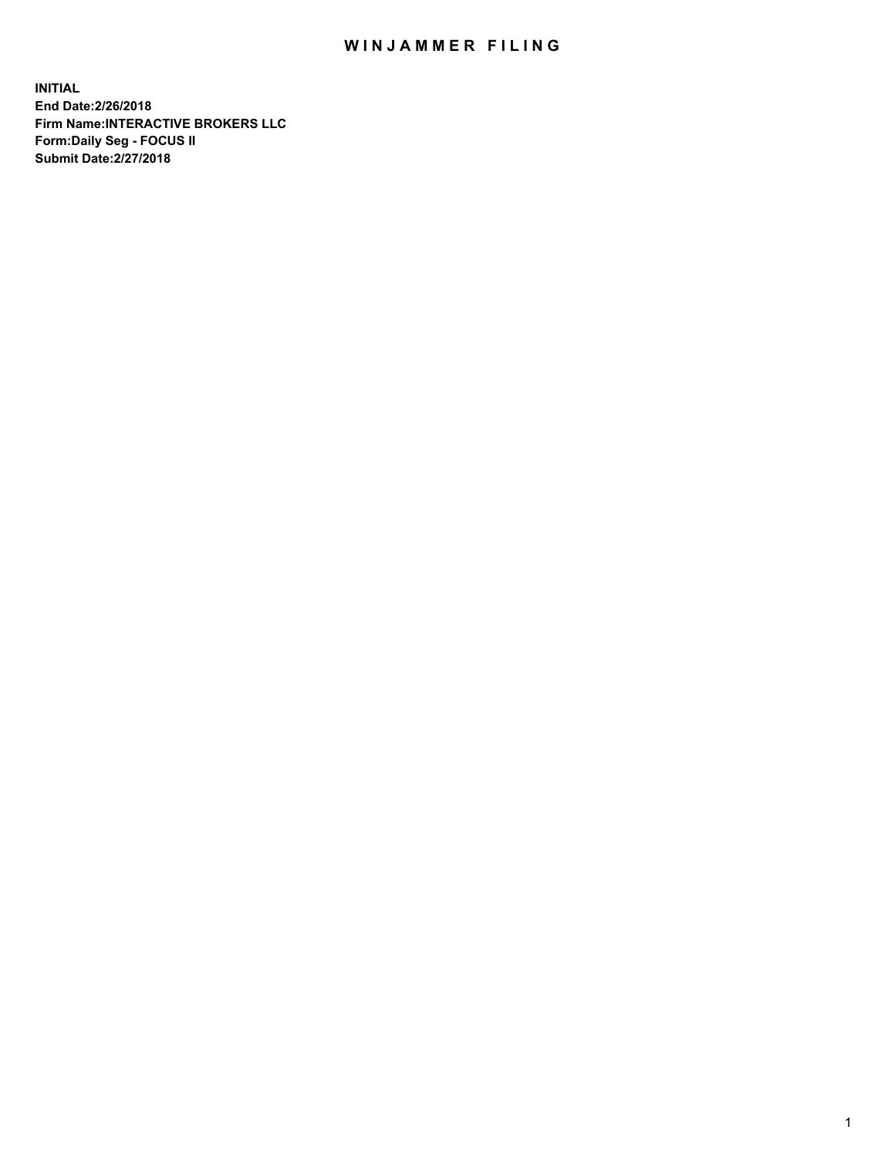## WIN JAMMER FILING

**INITIAL End Date:2/26/2018 Firm Name:INTERACTIVE BROKERS LLC Form:Daily Seg - FOCUS II Submit Date:2/27/2018**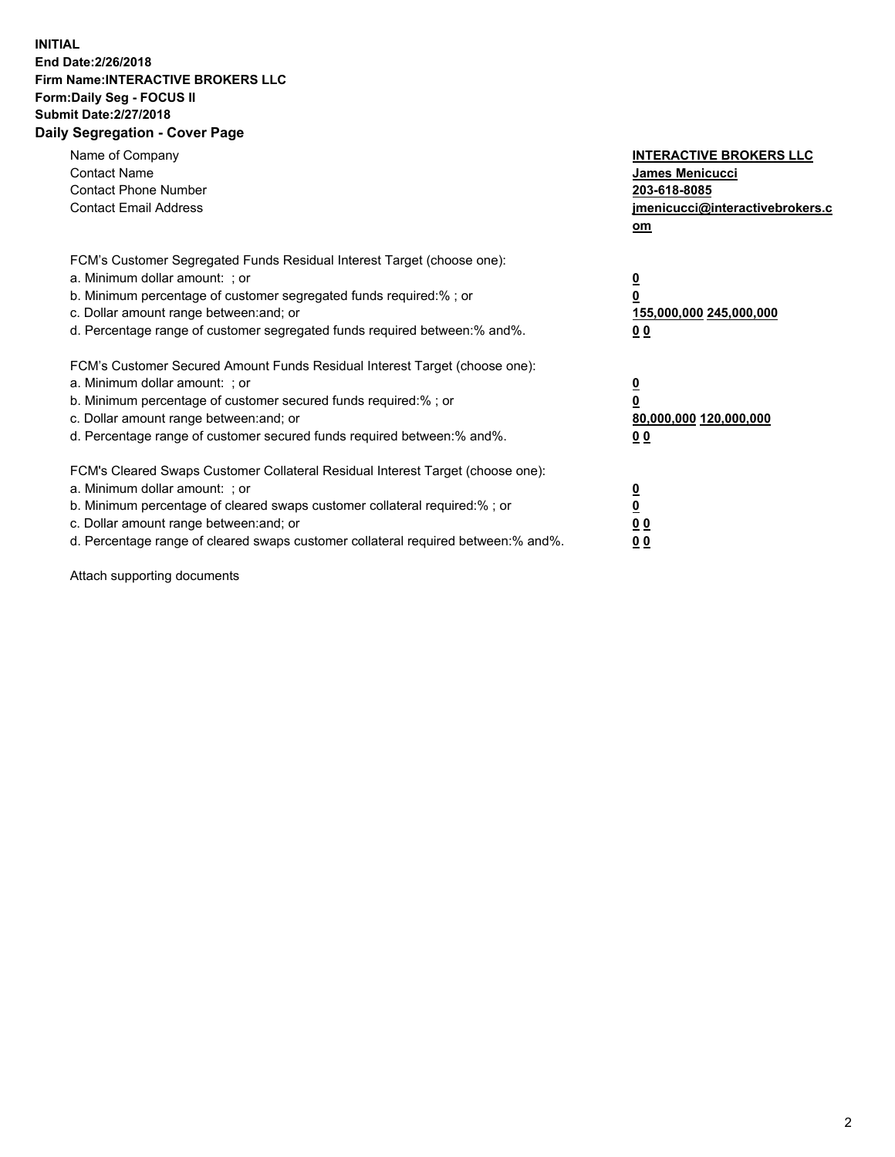## **INITIAL End Date:2/26/2018 Firm Name:INTERACTIVE BROKERS LLC Form:Daily Seg - FOCUS II Submit Date:2/27/2018 Daily Segregation - Cover Page**

| Name of Company<br><b>Contact Name</b><br><b>Contact Phone Number</b><br><b>Contact Email Address</b>                                                                                                                                                                                                                          | <b>INTERACTIVE BROKERS LLC</b><br>James Menicucci<br>203-618-8085<br>jmenicucci@interactivebrokers.c<br>om |
|--------------------------------------------------------------------------------------------------------------------------------------------------------------------------------------------------------------------------------------------------------------------------------------------------------------------------------|------------------------------------------------------------------------------------------------------------|
| FCM's Customer Segregated Funds Residual Interest Target (choose one):<br>a. Minimum dollar amount: ; or<br>b. Minimum percentage of customer segregated funds required:%; or<br>c. Dollar amount range between: and; or<br>d. Percentage range of customer segregated funds required between:% and%.                          | $\overline{\mathbf{0}}$<br>0<br>155,000,000 245,000,000<br>0 <sub>0</sub>                                  |
| FCM's Customer Secured Amount Funds Residual Interest Target (choose one):<br>a. Minimum dollar amount: ; or<br>b. Minimum percentage of customer secured funds required:%; or<br>c. Dollar amount range between: and; or<br>d. Percentage range of customer secured funds required between:% and%.                            | $\overline{\mathbf{0}}$<br>$\overline{\mathbf{0}}$<br>80,000,000 120,000,000<br>00                         |
| FCM's Cleared Swaps Customer Collateral Residual Interest Target (choose one):<br>a. Minimum dollar amount: ; or<br>b. Minimum percentage of cleared swaps customer collateral required:% ; or<br>c. Dollar amount range between: and; or<br>d. Percentage range of cleared swaps customer collateral required between:% and%. | $\overline{\mathbf{0}}$<br>$\overline{\mathbf{0}}$<br>0 <sub>0</sub><br><u>00</u>                          |

Attach supporting documents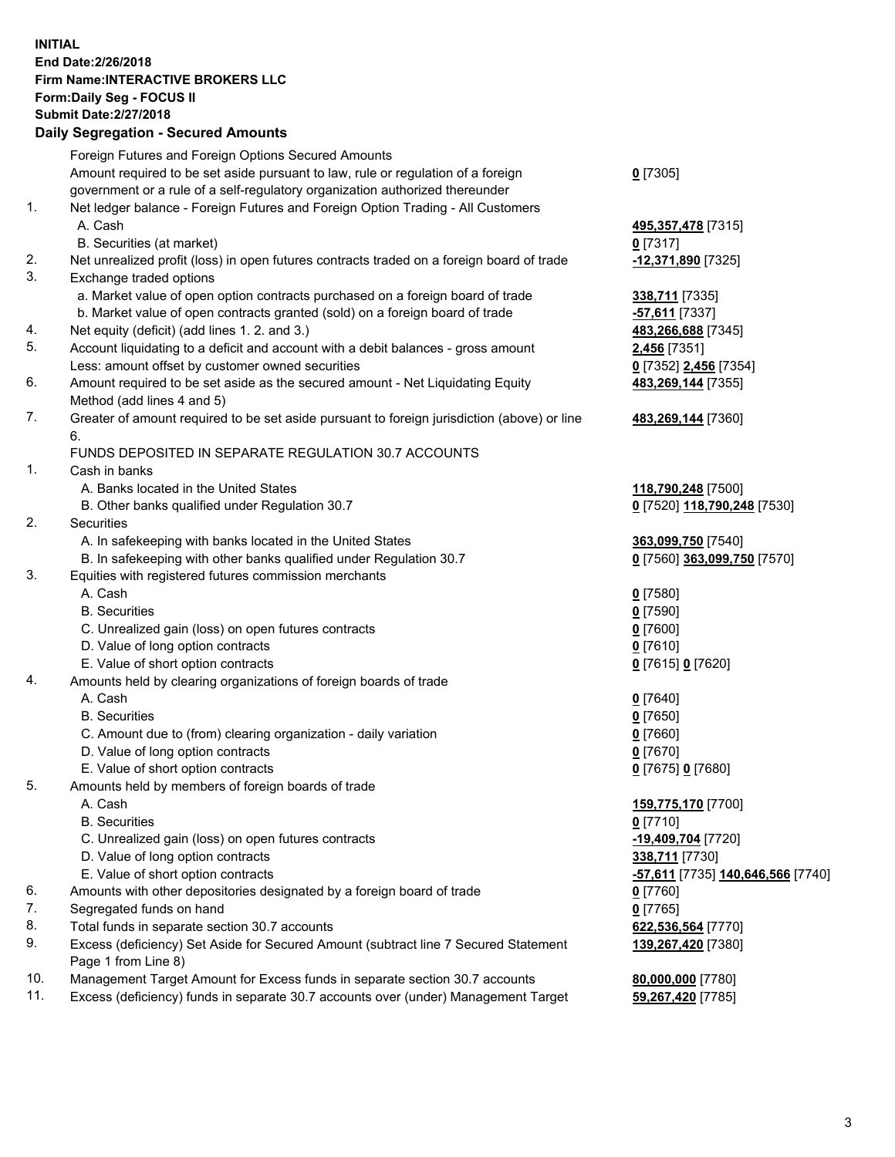## **INITIAL End Date:2/26/2018 Firm Name:INTERACTIVE BROKERS LLC Form:Daily Seg - FOCUS II Submit Date:2/27/2018 Daily Segregation - Secured Amounts**

|                | Daily Ocglegation - Occarea Anioants                                                                       |                                   |
|----------------|------------------------------------------------------------------------------------------------------------|-----------------------------------|
|                | Foreign Futures and Foreign Options Secured Amounts                                                        |                                   |
|                | Amount required to be set aside pursuant to law, rule or regulation of a foreign                           | $0$ [7305]                        |
|                | government or a rule of a self-regulatory organization authorized thereunder                               |                                   |
| 1.             | Net ledger balance - Foreign Futures and Foreign Option Trading - All Customers                            |                                   |
|                | A. Cash                                                                                                    | 495,357,478 [7315]                |
|                | B. Securities (at market)                                                                                  | $0$ [7317]                        |
| 2.             | Net unrealized profit (loss) in open futures contracts traded on a foreign board of trade                  | -12,371,890 [7325]                |
| 3.             | Exchange traded options                                                                                    |                                   |
|                | a. Market value of open option contracts purchased on a foreign board of trade                             | 338,711 [7335]                    |
|                | b. Market value of open contracts granted (sold) on a foreign board of trade                               | -57,611 [7337]                    |
| 4.             | Net equity (deficit) (add lines 1.2. and 3.)                                                               | 483,266,688 [7345]                |
| 5.             | Account liquidating to a deficit and account with a debit balances - gross amount                          | 2,456 [7351]                      |
|                | Less: amount offset by customer owned securities                                                           | 0 [7352] 2,456 [7354]             |
| 6.             | Amount required to be set aside as the secured amount - Net Liquidating Equity                             | 483,269,144 [7355]                |
|                | Method (add lines 4 and 5)                                                                                 |                                   |
| 7.             | Greater of amount required to be set aside pursuant to foreign jurisdiction (above) or line                | 483,269,144 [7360]                |
|                | 6.                                                                                                         |                                   |
|                | FUNDS DEPOSITED IN SEPARATE REGULATION 30.7 ACCOUNTS                                                       |                                   |
| $\mathbf{1}$ . | Cash in banks                                                                                              |                                   |
|                | A. Banks located in the United States                                                                      | 118,790,248 [7500]                |
|                | B. Other banks qualified under Regulation 30.7                                                             | 0 [7520] 118,790,248 [7530]       |
| 2.             | Securities                                                                                                 |                                   |
|                | A. In safekeeping with banks located in the United States                                                  | 363,099,750 [7540]                |
|                | B. In safekeeping with other banks qualified under Regulation 30.7                                         | 0 [7560] 363,099,750 [7570]       |
| 3.             | Equities with registered futures commission merchants                                                      |                                   |
|                | A. Cash                                                                                                    | $0$ [7580]                        |
|                | <b>B.</b> Securities                                                                                       | $0$ [7590]                        |
|                | C. Unrealized gain (loss) on open futures contracts                                                        | $0$ [7600]                        |
|                | D. Value of long option contracts                                                                          | $0$ [7610]                        |
|                | E. Value of short option contracts                                                                         | 0 [7615] 0 [7620]                 |
| 4.             | Amounts held by clearing organizations of foreign boards of trade                                          |                                   |
|                | A. Cash                                                                                                    | $0$ [7640]                        |
|                | <b>B.</b> Securities                                                                                       | $0$ [7650]                        |
|                | C. Amount due to (from) clearing organization - daily variation                                            | $0$ [7660]                        |
|                | D. Value of long option contracts                                                                          | $0$ [7670]                        |
|                | E. Value of short option contracts                                                                         | 0 [7675] 0 [7680]                 |
| 5.             | Amounts held by members of foreign boards of trade                                                         |                                   |
|                | A. Cash                                                                                                    | 159,775,170 [7700]                |
|                | <b>B.</b> Securities                                                                                       | $0$ [7710]                        |
|                | C. Unrealized gain (loss) on open futures contracts                                                        | -19,409,704 [7720]                |
|                | D. Value of long option contracts                                                                          | 338,711 [7730]                    |
|                | E. Value of short option contracts                                                                         | -57,611 [7735] 140,646,566 [7740] |
| 6.             | Amounts with other depositories designated by a foreign board of trade                                     | 0 [7760]                          |
| 7.             | Segregated funds on hand                                                                                   | $0$ [7765]                        |
| 8.             | Total funds in separate section 30.7 accounts                                                              | 622,536,564 [7770]                |
| 9.             | Excess (deficiency) Set Aside for Secured Amount (subtract line 7 Secured Statement<br>Page 1 from Line 8) | 139,267,420 [7380]                |
| 10.            | Management Target Amount for Excess funds in separate section 30.7 accounts                                | 80,000,000 [7780]                 |
| 11.            | Excess (deficiency) funds in separate 30.7 accounts over (under) Management Target                         | 59,267,420 [7785]                 |
|                |                                                                                                            |                                   |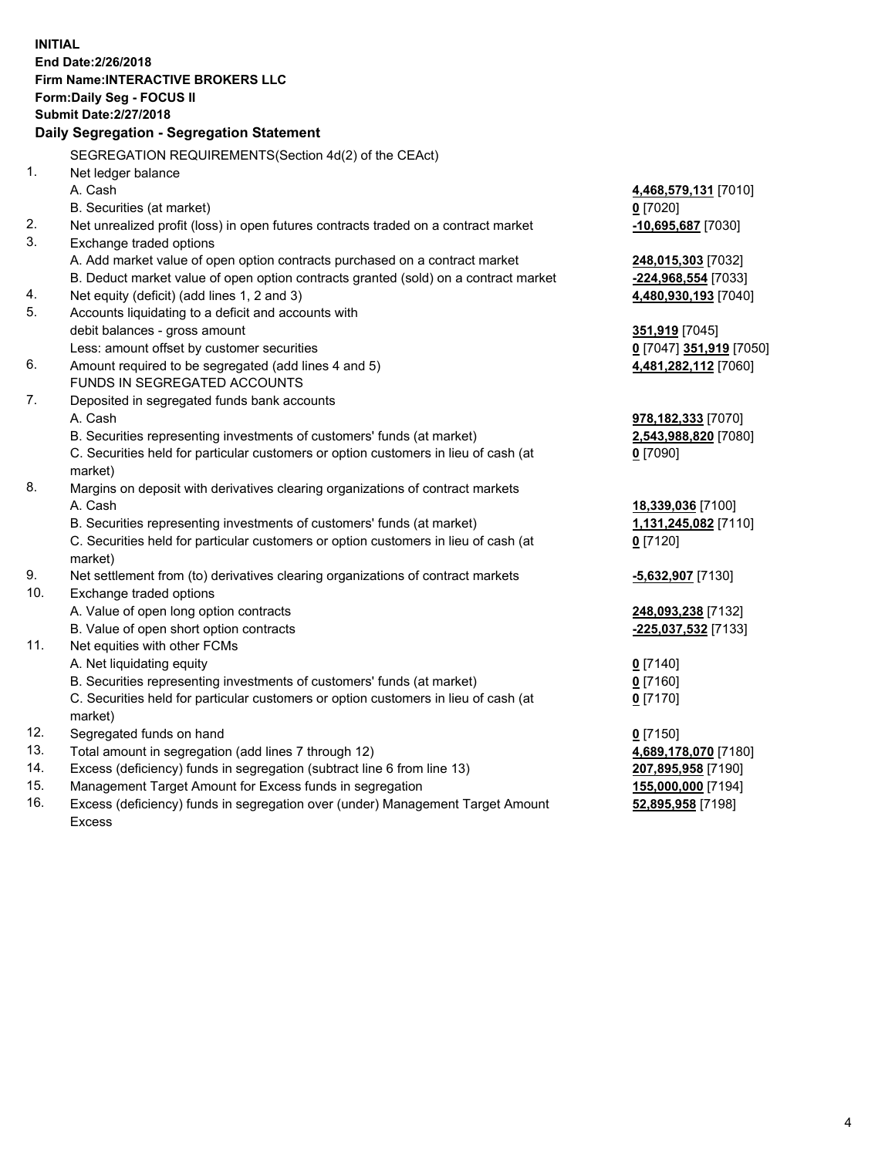**INITIAL End Date:2/26/2018 Firm Name:INTERACTIVE BROKERS LLC Form:Daily Seg - FOCUS II Submit Date:2/27/2018 Daily Segregation - Segregation Statement** SEGREGATION REQUIREMENTS(Section 4d(2) of the CEAct) 1. Net ledger balance A. Cash **4,468,579,131** [7010] B. Securities (at market) **0** [7020] 2. Net unrealized profit (loss) in open futures contracts traded on a contract market **-10,695,687** [7030] 3. Exchange traded options A. Add market value of open option contracts purchased on a contract market **248,015,303** [7032] B. Deduct market value of open option contracts granted (sold) on a contract market **-224,968,554** [7033] 4. Net equity (deficit) (add lines 1, 2 and 3) **4,480,930,193** [7040] 5. Accounts liquidating to a deficit and accounts with debit balances - gross amount **351,919** [7045] Less: amount offset by customer securities **0** [7047] **351,919** [7050] 6. Amount required to be segregated (add lines 4 and 5) **4,481,282,112** [7060] FUNDS IN SEGREGATED ACCOUNTS 7. Deposited in segregated funds bank accounts A. Cash **978,182,333** [7070] B. Securities representing investments of customers' funds (at market) **2,543,988,820** [7080] C. Securities held for particular customers or option customers in lieu of cash (at market) **0** [7090] 8. Margins on deposit with derivatives clearing organizations of contract markets A. Cash **18,339,036** [7100] B. Securities representing investments of customers' funds (at market) **1,131,245,082** [7110] C. Securities held for particular customers or option customers in lieu of cash (at market) **0** [7120] 9. Net settlement from (to) derivatives clearing organizations of contract markets **-5,632,907** [7130] 10. Exchange traded options A. Value of open long option contracts **248,093,238** [7132] B. Value of open short option contracts **-225,037,532** [7133] 11. Net equities with other FCMs A. Net liquidating equity **0** [7140] B. Securities representing investments of customers' funds (at market) **0** [7160] C. Securities held for particular customers or option customers in lieu of cash (at market) **0** [7170] 12. Segregated funds on hand **0** [7150] 13. Total amount in segregation (add lines 7 through 12) **4,689,178,070** [7180] 14. Excess (deficiency) funds in segregation (subtract line 6 from line 13) **207,895,958** [7190] 15. Management Target Amount for Excess funds in segregation **155,000,000** [7194]

16. Excess (deficiency) funds in segregation over (under) Management Target Amount Excess

**52,895,958** [7198]